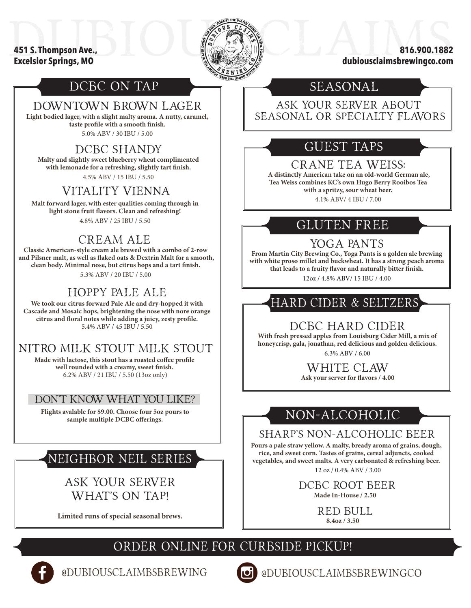#### **451 S. Thompson Ave., Excelsior Springs, MO**



**816.900.1882 dubiousclaimsbrewingco.com**

# DCBC ON TAP

#### DOWNTOWN BROWN LAGER

**Light bodied lager, with a slight malty aroma. A nutty, caramel, taste profile with a smooth finish.**  5.0% ABV / 30 IBU / 5.00

#### DCBC SHANDY

**Malty and slightly sweet blueberry wheat complimented with lemonade for a refreshing, slightly tart finish.** 4.5% ABV / 15 IBU / 5.50

#### VITALITY VIENNA

**Malt forward lager, with ester qualities coming through in light stone fruit flavors. Clean and refreshing!** 

4.8% ABV / 25 IBU / 5.50

### CREAM ALE

**Classic American-style cream ale brewed with a combo of 2-row and Pilsner malt, as well as flaked oats & Dextrin Malt for a smooth, clean body. Minimal nose, but citrus hops and a tart finish.** 5.3% ABV / 20 IBU / 5.00

## HOPPY PALE ALE

**We took our citrus forward Pale Ale and dry-hopped it with Cascade and Mosaic hops, brightening the nose with nore orange citrus and floral notes while adding a juicy, zesty profile.**  5.4% ABV / 45 IBU / 5.50

## NITRO MILK STOUT MILK STOUT

**Made with lactose, this stout has a roasted coffee profile well rounded with a creamy, sweet finish.** 6.2% ABV / 21 IBU / 5.50 (13oz only)

#### DON'T KNOW WHAT YOU LIKE?

**Flights avalable for \$9.00. Choose four 5oz pours to sample multiple DCBC offerings.** 

# NEIGHBOR NEIL SERIES

ASK YOUR SERVER WHAT'S ON TAP!

**Limited runs of special seasonal brews.** 

## SEASONAL

ASK YOUR SERVER ABOUT SEASONAL OR SPECIALTY FLAVORS

# GUEST TAPS

#### CRANE TEA WEISS:

 **A distinctly American take on an old-world German ale, Tea Weiss combines KC's own Hugo Berry Rooibos Tea with a spritzy, sour wheat beer.**  4.1% ABV/ 4 IBU / 7.00

## GLUTEN FREE

### YOGA PANTS

**From Martin City Brewing Co., Yoga Pants is a golden ale brewing with white proso millet and buckwheat. It has a strong peach aroma that leads to a fruity flavor and naturally bitter finish.**  12oz / 4.8% ABV/ 15 IBU / 4.00

# HARD CIDER & SELTZERS

#### DCBC HARD CIDER

**With fresh pressed apples from Louisburg Cider Mill, a mix of honeycrisp, gala, jonathan, red delicious and golden delicious.** 6.3% ABV / 6.00

WHITE CLAW

**Ask your server for flavors / 4.00**

# NON-ALCOHOLIC

### SHARP'S NON-ALCOHOLIC BEER

**Pours a pale straw yellow. A malty, bready aroma of grains, dough, rice, and sweet corn. Tastes of grains, cereal adjuncts, cooked vegetables, and sweet malts. A very carbonated & refreshing beer.** 12 oz / 0.4% ABV / 3.00

DCBC ROOT BEER

**Made In-House / 2.50**

**8.4oz / 3.50** RED BULL

# Order online for curbside pickup!



@DUBIOUSCLAIMBSBREWING @DUBIOUSCLAIMBSBREWINGCO